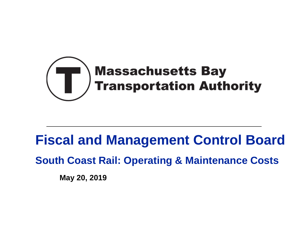

# **Fiscal and Management Control Board**

**South Coast Rail: Operating & Maintenance Costs**

**May 20, 2019**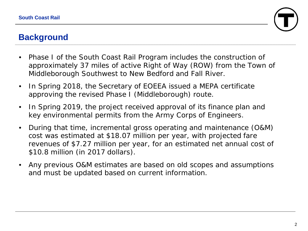

# **Background**

- Phase I of the South Coast Rail Program includes the construction of approximately 37 miles of active Right of Way (ROW) from the Town of Middleborough Southwest to New Bedford and Fall River.
- In Spring 2018, the Secretary of EOEEA issued a MEPA certificate approving the revised Phase I (Middleborough) route.
- In Spring 2019, the project received approval of its finance plan and key environmental permits from the Army Corps of Engineers.
- During that time, incremental gross operating and maintenance (O&M) cost was estimated at \$18.07 million per year, with projected fare revenues of \$7.27 million per year, for an estimated net annual cost of \$10.8 million (in 2017 dollars).
- Any previous O&M estimates are based on old scopes and assumptions and must be updated based on current information.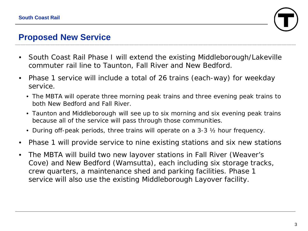

#### **Proposed New Service**

- South Coast Rail Phase I will extend the existing Middleborough/Lakeville commuter rail line to Taunton, Fall River and New Bedford.
- Phase 1 service will include a total of 26 trains (each-way) for weekday service.
	- The MBTA will operate three morning peak trains and three evening peak trains to both New Bedford and Fall River.
	- Taunton and Middleborough will see up to six morning and six evening peak trains because all of the service will pass through those communities.
	- During off-peak periods, three trains will operate on a 3-3 ½ hour frequency.
- Phase 1 will provide service to nine existing stations and six new stations
- The MBTA will build two new layover stations in Fall River (Weaver's Cove) and New Bedford (Wamsutta), each including six storage tracks, crew quarters, a maintenance shed and parking facilities. Phase 1 service will also use the existing Middleborough Layover facility.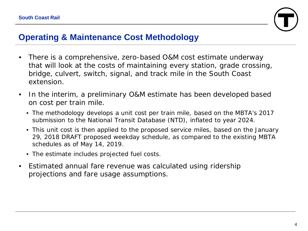

### **Operating & Maintenance Cost Methodology**

- There is a comprehensive, zero-based O&M cost estimate underway that will look at the costs of maintaining every station, grade crossing, bridge, culvert, switch, signal, and track mile in the South Coast extension.
- In the interim, a preliminary O&M estimate has been developed based on cost per train mile.
	- The methodology develops a unit cost per train mile, based on the MBTA's 2017 submission to the National Transit Database (NTD), inflated to year 2024.
	- This unit cost is then applied to the proposed service miles, based on the January 29, 2018 DRAFT proposed weekday schedule, as compared to the existing MBTA schedules as of May 14, 2019.
	- The estimate includes projected fuel costs.
- Estimated annual fare revenue was calculated using ridership projections and fare usage assumptions.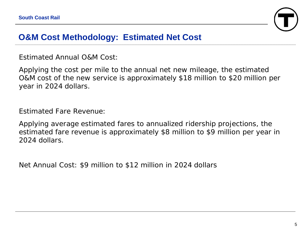

### **O&M Cost Methodology: Estimated Net Cost**

*Estimated Annual O&M Cost:*

Applying the cost per mile to the annual net new mileage, the estimated O&M cost of the new service is approximately \$18 million to \$20 million per year in 2024 dollars.

#### *Estimated Fare Revenue:*

Applying average estimated fares to annualized ridership projections, the estimated fare revenue is approximately \$8 million to \$9 million per year in 2024 dollars.

*Net Annual Cost:* \$9 million to \$12 million in 2024 dollars